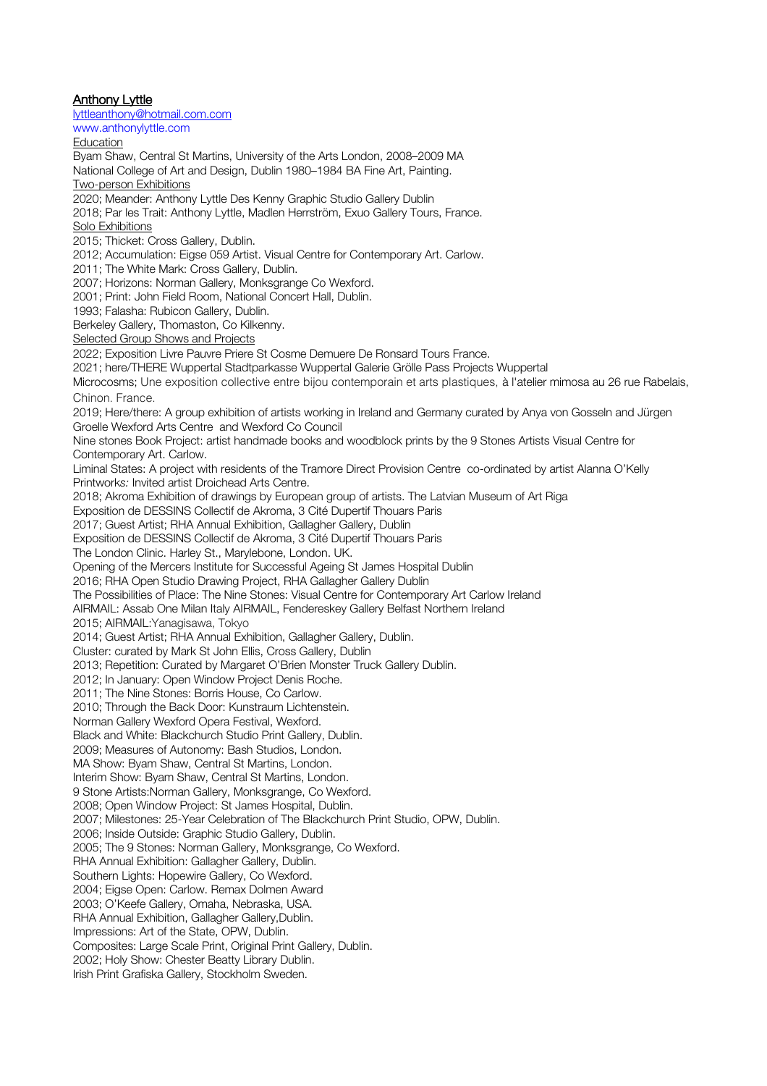**Anthony Lyttle** lyttleanthony@hotmail.com.com www.anthonylyttle.com **Education** Byam Shaw, Central St Martins, University of the Arts London, 2008–2009 MA National College of Art and Design, Dublin 1980–1984 BA Fine Art, Painting. Two-person Exhibitions 2020; Meander: Anthony Lyttle Des Kenny Graphic Studio Gallery Dublin 2018; Par les Trait: Anthony Lyttle, Madlen Herrström, Exuo Gallery Tours, France. Solo Exhibitions 2015; Thicket: Cross Gallery, Dublin. 2012; Accumulation: Eigse 059 Artist. Visual Centre for Contemporary Art. Carlow. 2011; The White Mark: Cross Gallery, Dublin. 2007; Horizons: Norman Gallery, Monksgrange Co Wexford. 2001; Print: John Field Room, National Concert Hall, Dublin. 1993; Falasha: Rubicon Gallery, Dublin. Berkeley Gallery, Thomaston, Co Kilkenny. Selected Group Shows and Projects 2022; Exposition Livre Pauvre Priere St Cosme Demuere De Ronsard Tours France. 2021; here/THERE Wuppertal Stadtparkasse Wuppertal Galerie Grölle Pass Projects Wuppertal Microcosms; Une exposition collective entre bijou contemporain et arts plastiques, à l'atelier mimosa au 26 rue Rabelais, Chinon. France. 2019; Here/there: A group exhibition of artists working in Ireland and Germany curated by Anya von Gosseln and Jürgen Groelle Wexford Arts Centre and Wexford Co Council Nine stones Book Project: artist handmade books and woodblock prints by the 9 Stones Artists Visual Centre for Contemporary Art. Carlow. Liminal States: A project with residents of the Tramore Direct Provision Centre co-ordinated by artist Alanna O'Kelly Printwork*s:* Invited artist Droichead Arts Centre. 2018; Akroma Exhibition of drawings by European group of artists. The Latvian Museum of Art Riga Exposition de DESSINS Collectif de Akroma, 3 Cité Dupertif Thouars Paris 2017; Guest Artist; RHA Annual Exhibition, Gallagher Gallery, Dublin Exposition de DESSINS Collectif de Akroma, 3 Cité Dupertif Thouars Paris The London Clinic. Harley St., Marylebone, London. UK. Opening of the Mercers Institute for Successful Ageing St James Hospital Dublin 2016; RHA Open Studio Drawing Project, RHA Gallagher Gallery Dublin The Possibilities of Place: The Nine Stones: Visual Centre for Contemporary Art Carlow Ireland AIRMAIL: Assab One Milan Italy AIRMAIL, Fendereskey Gallery Belfast Northern Ireland 2015; AIRMAIL:Yanagisawa, Tokyo 2014; Guest Artist; RHA Annual Exhibition, Gallagher Gallery, Dublin. Cluster: curated by Mark St John Ellis, Cross Gallery, Dublin 2013; Repetition: Curated by Margaret O'Brien Monster Truck Gallery Dublin. 2012; In January: Open Window Project Denis Roche. 2011; The Nine Stones: Borris House, Co Carlow. 2010; Through the Back Door: Kunstraum Lichtenstein. Norman Gallery Wexford Opera Festival, Wexford. Black and White: Blackchurch Studio Print Gallery, Dublin. 2009; Measures of Autonomy: Bash Studios, London. MA Show: Byam Shaw, Central St Martins, London. Interim Show: Byam Shaw, Central St Martins, London. 9 Stone Artists:Norman Gallery, Monksgrange, Co Wexford. 2008; Open Window Project: St James Hospital, Dublin. 2007; Milestones: 25-Year Celebration of The Blackchurch Print Studio, OPW, Dublin. 2006; Inside Outside: Graphic Studio Gallery, Dublin. 2005; The 9 Stones: Norman Gallery, Monksgrange, Co Wexford. RHA Annual Exhibition: Gallagher Gallery, Dublin. Southern Lights: Hopewire Gallery, Co Wexford. 2004; Eigse Open: Carlow. Remax Dolmen Award 2003; O'Keefe Gallery, Omaha, Nebraska, USA. RHA Annual Exhibition, Gallagher Gallery,Dublin. Impressions: Art of the State, OPW, Dublin. Composites: Large Scale Print, Original Print Gallery, Dublin. 2002; Holy Show: Chester Beatty Library Dublin. Irish Print Grafiska Gallery, Stockholm Sweden.